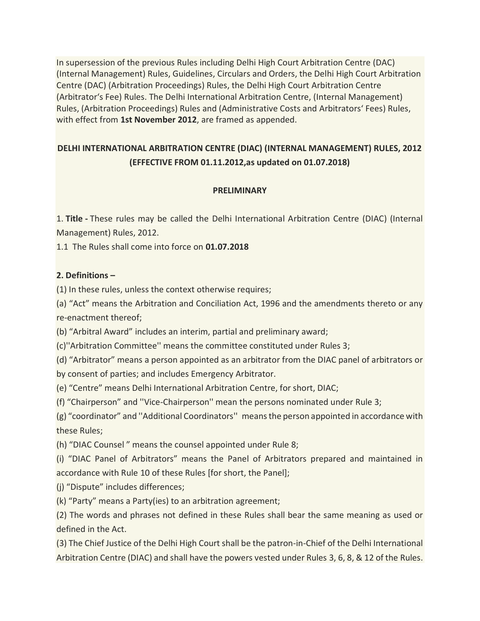In supersession of the previous Rules including Delhi High Court Arbitration Centre (DAC) (Internal Management) Rules, Guidelines, Circulars and Orders, the Delhi High Court Arbitration Centre (DAC) (Arbitration Proceedings) Rules, the Delhi High Court Arbitration Centre (Arbitrator's Fee) Rules. The Delhi International Arbitration Centre, (Internal Management) Rules, (Arbitration Proceedings) Rules and (Administrative Costs and Arbitrators' Fees) Rules, with effect from **1st November 2012**, are framed as appended.

# **DELHI INTERNATIONAL ARBITRATION CENTRE (DIAC) (INTERNAL MANAGEMENT) RULES, 2012 (EFFECTIVE FROM 01.11.2012,as updated on 01.07.2018)**

## **PRELIMINARY**

1. **Title -** These rules may be called the Delhi International Arbitration Centre (DIAC) (Internal Management) Rules, 2012.

1.1 The Rules shall come into force on **01.07.2018**

## **2. Definitions –**

(1) In these rules, unless the context otherwise requires;

(a) "Act" means the Arbitration and Conciliation Act, 1996 and the amendments thereto or any re-enactment thereof;

(b) "Arbitral Award" includes an interim, partial and preliminary award;

(c)''Arbitration Committee'' means the committee constituted under Rules 3;

(d) "Arbitrator" means a person appointed as an arbitrator from the DIAC panel of arbitrators or by consent of parties; and includes Emergency Arbitrator.

(e) "Centre" means Delhi International Arbitration Centre, for short, DIAC;

(f) "Chairperson" and ''Vice-Chairperson'' mean the persons nominated under Rule 3;

(g) "coordinator" and ''Additional Coordinators'' means the person appointed in accordance with these Rules;

(h) "DIAC Counsel " means the counsel appointed under Rule 8;

(i) "DIAC Panel of Arbitrators" means the Panel of Arbitrators prepared and maintained in accordance with Rule 10 of these Rules [for short, the Panel];

(j) "Dispute" includes differences;

(k) "Party" means a Party(ies) to an arbitration agreement;

(2) The words and phrases not defined in these Rules shall bear the same meaning as used or defined in the Act.

(3) The Chief Justice of the Delhi High Court shall be the patron-in-Chief of the Delhi International Arbitration Centre (DIAC) and shall have the powers vested under Rules 3, 6, 8, & 12 of the Rules.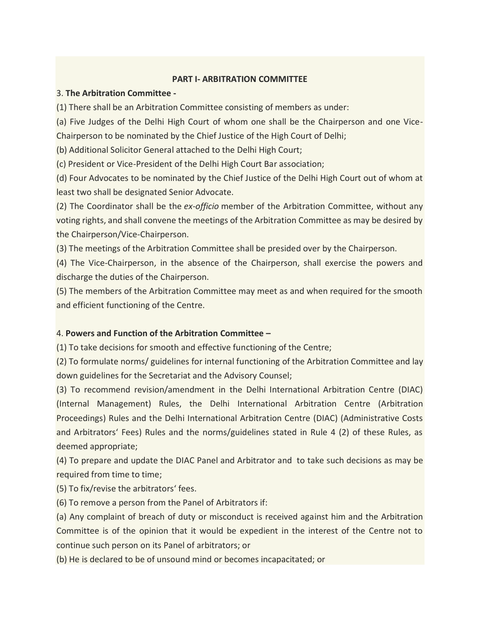## **PART I- ARBITRATION COMMITTEE**

## 3. **The Arbitration Committee -**

(1) There shall be an Arbitration Committee consisting of members as under:

(a) Five Judges of the Delhi High Court of whom one shall be the Chairperson and one Vice-Chairperson to be nominated by the Chief Justice of the High Court of Delhi;

(b) Additional Solicitor General attached to the Delhi High Court;

(c) President or Vice-President of the Delhi High Court Bar association;

(d) Four Advocates to be nominated by the Chief Justice of the Delhi High Court out of whom at least two shall be designated Senior Advocate.

(2) The Coordinator shall be the *ex-officio* member of the Arbitration Committee, without any voting rights, and shall convene the meetings of the Arbitration Committee as may be desired by the Chairperson/Vice-Chairperson.

(3) The meetings of the Arbitration Committee shall be presided over by the Chairperson.

(4) The Vice-Chairperson, in the absence of the Chairperson, shall exercise the powers and discharge the duties of the Chairperson.

(5) The members of the Arbitration Committee may meet as and when required for the smooth and efficient functioning of the Centre.

# 4. **Powers and Function of the Arbitration Committee –**

(1) To take decisions for smooth and effective functioning of the Centre;

(2) To formulate norms/ guidelines for internal functioning of the Arbitration Committee and lay down guidelines for the Secretariat and the Advisory Counsel;

(3) To recommend revision/amendment in the Delhi International Arbitration Centre (DIAC) (Internal Management) Rules, the Delhi International Arbitration Centre (Arbitration Proceedings) Rules and the Delhi International Arbitration Centre (DIAC) (Administrative Costs and Arbitrators' Fees) Rules and the norms/guidelines stated in Rule 4 (2) of these Rules, as deemed appropriate;

(4) To prepare and update the DIAC Panel and Arbitrator and to take such decisions as may be required from time to time;

(5) To fix/revise the arbitrators' fees.

(6) To remove a person from the Panel of Arbitrators if:

(a) Any complaint of breach of duty or misconduct is received against him and the Arbitration Committee is of the opinion that it would be expedient in the interest of the Centre not to continue such person on its Panel of arbitrators; or

(b) He is declared to be of unsound mind or becomes incapacitated; or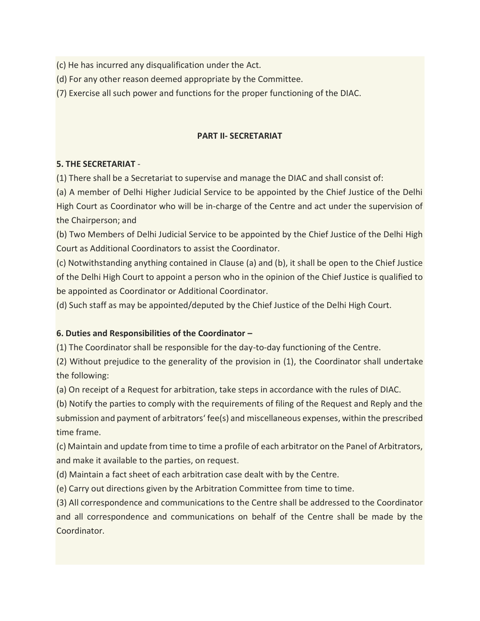(c) He has incurred any disqualification under the Act.

(d) For any other reason deemed appropriate by the Committee.

(7) Exercise all such power and functions for the proper functioning of the DIAC.

## **PART II- SECRETARIAT**

## **5. THE SECRETARIAT** -

(1) There shall be a Secretariat to supervise and manage the DIAC and shall consist of:

(a) A member of Delhi Higher Judicial Service to be appointed by the Chief Justice of the Delhi High Court as Coordinator who will be in-charge of the Centre and act under the supervision of the Chairperson; and

(b) Two Members of Delhi Judicial Service to be appointed by the Chief Justice of the Delhi High Court as Additional Coordinators to assist the Coordinator.

(c) Notwithstanding anything contained in Clause (a) and (b), it shall be open to the Chief Justice of the Delhi High Court to appoint a person who in the opinion of the Chief Justice is qualified to be appointed as Coordinator or Additional Coordinator.

(d) Such staff as may be appointed/deputed by the Chief Justice of the Delhi High Court.

# **6. Duties and Responsibilities of the Coordinator –**

(1) The Coordinator shall be responsible for the day-to-day functioning of the Centre.

(2) Without prejudice to the generality of the provision in (1), the Coordinator shall undertake the following:

(a) On receipt of a Request for arbitration, take steps in accordance with the rules of DIAC.

(b) Notify the parties to comply with the requirements of filing of the Request and Reply and the submission and payment of arbitrators' fee(s) and miscellaneous expenses, within the prescribed time frame.

(c) Maintain and update from time to time a profile of each arbitrator on the Panel of Arbitrators, and make it available to the parties, on request.

(d) Maintain a fact sheet of each arbitration case dealt with by the Centre.

(e) Carry out directions given by the Arbitration Committee from time to time.

(3) All correspondence and communications to the Centre shall be addressed to the Coordinator and all correspondence and communications on behalf of the Centre shall be made by the Coordinator.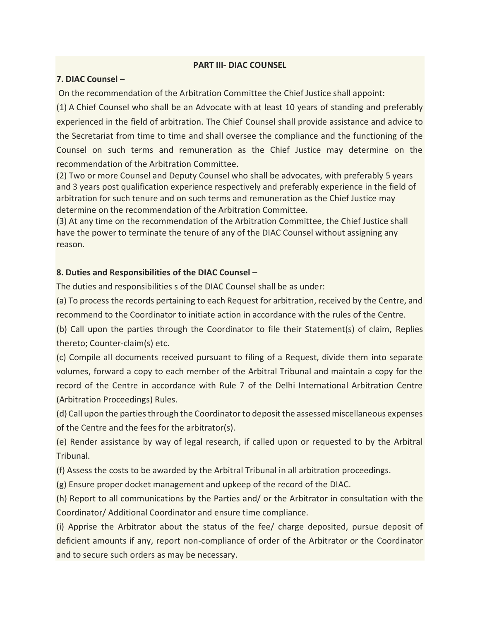## **PART III- DIAC COUNSEL**

## **7. DIAC Counsel –**

On the recommendation of the Arbitration Committee the Chief Justice shall appoint:

(1) A Chief Counsel who shall be an Advocate with at least 10 years of standing and preferably experienced in the field of arbitration. The Chief Counsel shall provide assistance and advice to the Secretariat from time to time and shall oversee the compliance and the functioning of the Counsel on such terms and remuneration as the Chief Justice may determine on the recommendation of the Arbitration Committee.

(2) Two or more Counsel and Deputy Counsel who shall be advocates, with preferably 5 years and 3 years post qualification experience respectively and preferably experience in the field of arbitration for such tenure and on such terms and remuneration as the Chief Justice may determine on the recommendation of the Arbitration Committee.

(3) At any time on the recommendation of the Arbitration Committee, the Chief Justice shall have the power to terminate the tenure of any of the DIAC Counsel without assigning any reason.

## **8. Duties and Responsibilities of the DIAC Counsel –**

The duties and responsibilities s of the DIAC Counsel shall be as under:

(a) To process the records pertaining to each Request for arbitration, received by the Centre, and recommend to the Coordinator to initiate action in accordance with the rules of the Centre.

(b) Call upon the parties through the Coordinator to file their Statement(s) of claim, Replies thereto; Counter-claim(s) etc.

(c) Compile all documents received pursuant to filing of a Request, divide them into separate volumes, forward a copy to each member of the Arbitral Tribunal and maintain a copy for the record of the Centre in accordance with Rule 7 of the Delhi International Arbitration Centre (Arbitration Proceedings) Rules.

(d) Call upon the parties through the Coordinator to deposit the assessed miscellaneous expenses of the Centre and the fees for the arbitrator(s).

(e) Render assistance by way of legal research, if called upon or requested to by the Arbitral Tribunal.

(f) Assess the costs to be awarded by the Arbitral Tribunal in all arbitration proceedings.

(g) Ensure proper docket management and upkeep of the record of the DIAC.

(h) Report to all communications by the Parties and/ or the Arbitrator in consultation with the Coordinator/ Additional Coordinator and ensure time compliance.

(i) Apprise the Arbitrator about the status of the fee/ charge deposited, pursue deposit of deficient amounts if any, report non-compliance of order of the Arbitrator or the Coordinator and to secure such orders as may be necessary.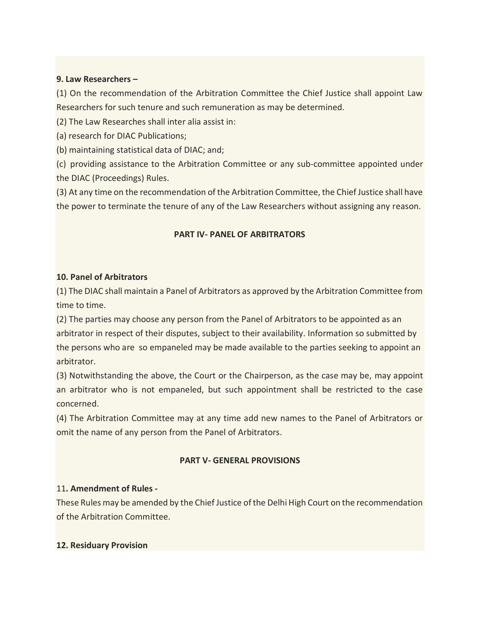## **9. Law Researchers –**

(1) On the recommendation of the Arbitration Committee the Chief Justice shall appoint Law Researchers for such tenure and such remuneration as may be determined.

(2) The Law Researches shall inter alia assist in:

(a) research for DIAC Publications;

(b) maintaining statistical data of DIAC; and;

(c) providing assistance to the Arbitration Committee or any sub-committee appointed under the DIAC (Proceedings) Rules.

(3) At any time on the recommendation of the Arbitration Committee, the Chief Justice shall have the power to terminate the tenure of any of the Law Researchers without assigning any reason.

## **PART IV- PANEL OF ARBITRATORS**

#### **10. Panel of Arbitrators**

(1) The DIAC shall maintain a Panel of Arbitrators as approved by the Arbitration Committee from time to time.

(2) The parties may choose any person from the Panel of Arbitrators to be appointed as an arbitrator in respect of their disputes, subject to their availability. Information so submitted by the persons who are so empaneled may be made available to the parties seeking to appoint an arbitrator.

(3) Notwithstanding the above, the Court or the Chairperson, as the case may be, may appoint an arbitrator who is not empaneled, but such appointment shall be restricted to the case concerned.

(4) The Arbitration Committee may at any time add new names to the Panel of Arbitrators or omit the name of any person from the Panel of Arbitrators.

#### **PART V- GENERAL PROVISIONS**

## 11**. Amendment of Rules -**

These Rules may be amended by the Chief Justice of the Delhi High Court on the recommendation of the Arbitration Committee.

#### **12. Residuary Provision**